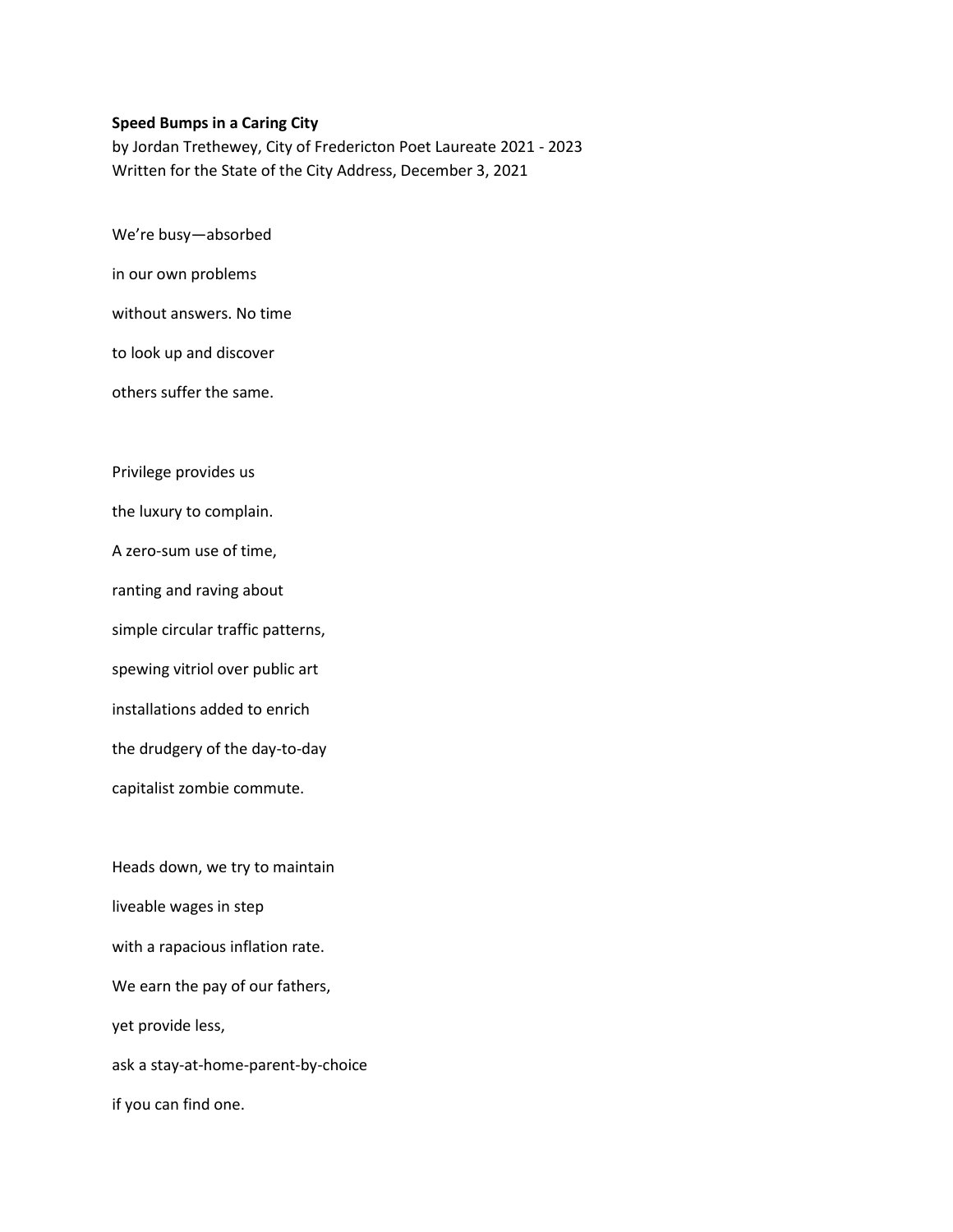## **Speed Bumps in a Caring City**

by Jordan Trethewey, City of Fredericton Poet Laureate 2021 - 2023 Written for the State of the City Address, December 3, 2021

We're busy—absorbed

in our own problems

without answers. No time

to look up and discover

others suffer the same.

Privilege provides us

the luxury to complain.

A zero-sum use of time,

ranting and raving about

simple circular traffic patterns,

spewing vitriol over public art

installations added to enrich

the drudgery of the day-to-day

capitalist zombie commute.

Heads down, we try to maintain liveable wages in step with a rapacious inflation rate. We earn the pay of our fathers, yet provide less, ask a stay-at-home-parent-by-choice if you can find one.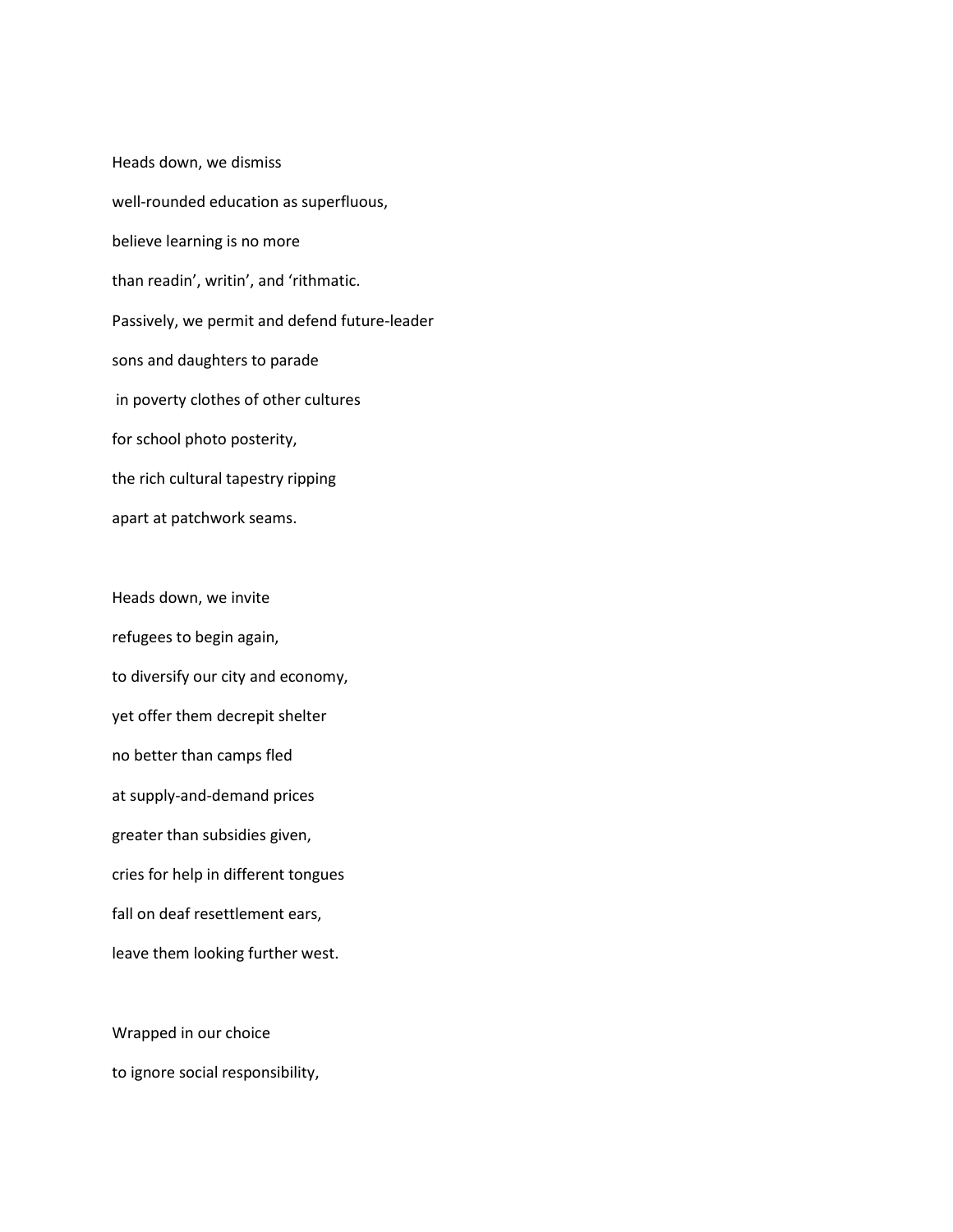Heads down, we dismiss well-rounded education as superfluous, believe learning is no more than readin', writin', and 'rithmatic. Passively, we permit and defend future-leader sons and daughters to parade in poverty clothes of other cultures for school photo posterity, the rich cultural tapestry ripping apart at patchwork seams.

Heads down, we invite refugees to begin again, to diversify our city and economy, yet offer them decrepit shelter no better than camps fled at supply-and-demand prices greater than subsidies given, cries for help in different tongues fall on deaf resettlement ears, leave them looking further west.

Wrapped in our choice to ignore social responsibility,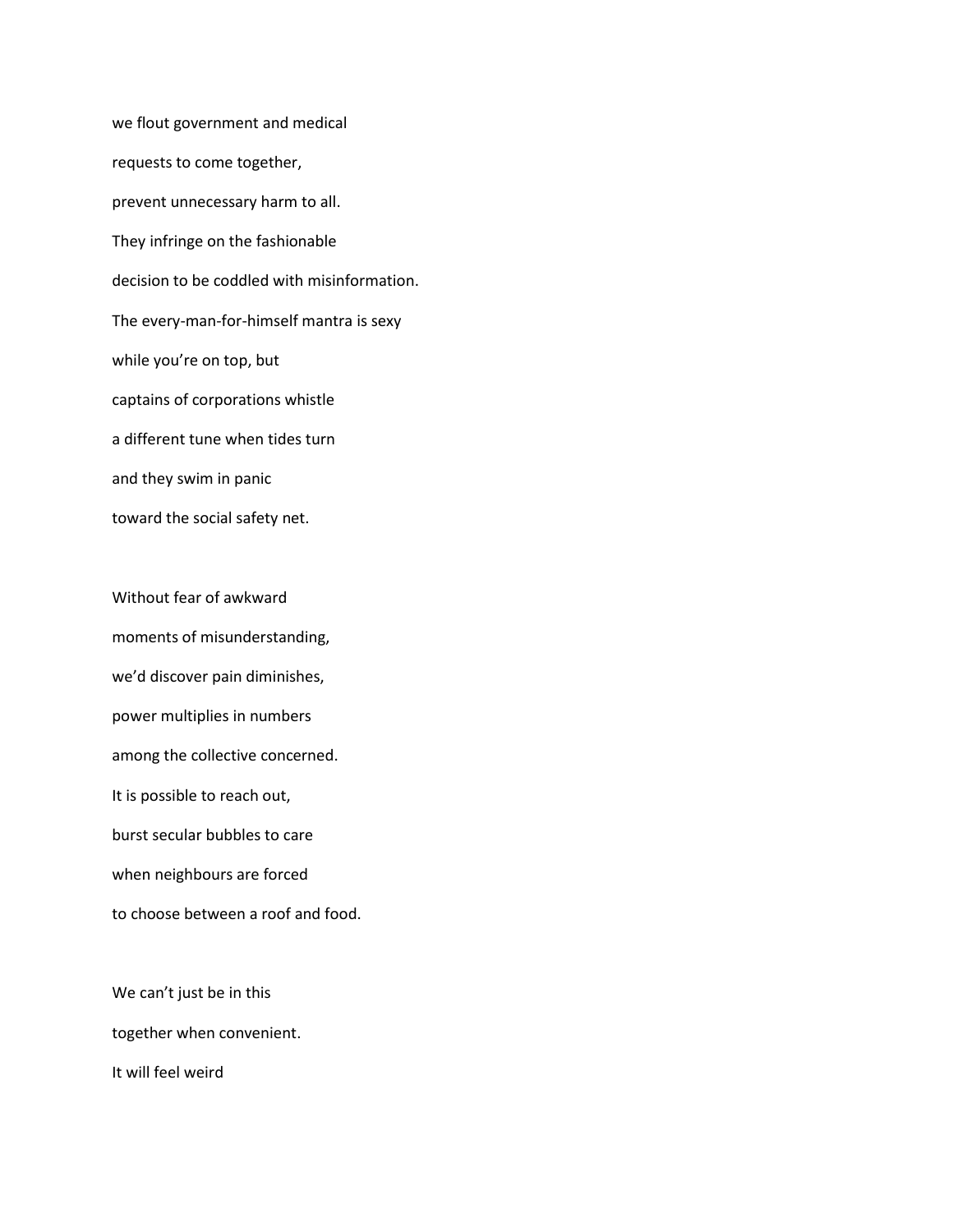we flout government and medical requests to come together, prevent unnecessary harm to all. They infringe on the fashionable decision to be coddled with misinformation. The every-man-for-himself mantra is sexy while you're on top, but captains of corporations whistle a different tune when tides turn and they swim in panic toward the social safety net.

Without fear of awkward moments of misunderstanding, we'd discover pain diminishes, power multiplies in numbers among the collective concerned. It is possible to reach out, burst secular bubbles to care when neighbours are forced to choose between a roof and food.

We can't just be in this together when convenient. It will feel weird